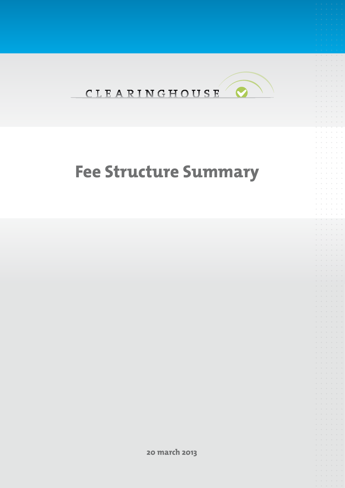

# **Fee Structure Summary**

**20 march 2013**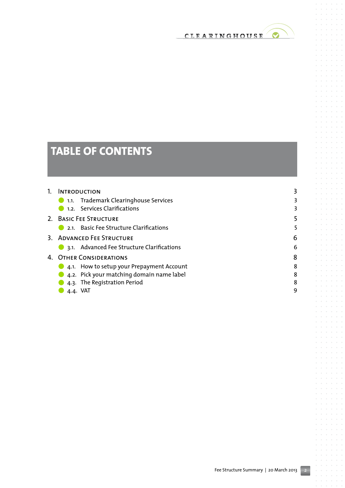

# **Table of contents**

| $1_{\cdot}$ | <b>INTRODUCTION</b>                          |   |
|-------------|----------------------------------------------|---|
|             | <b>1.1.</b> Trademark Clearinghouse Services |   |
|             | 1.2. Services Clarifications                 |   |
|             | 2. BASIC FEE STRUCTURE                       |   |
|             | 2.1. Basic Fee Structure Clarifications      |   |
|             | 3. ADVANCED FEE STRUCTURE                    | 6 |
|             | 3.1. Advanced Fee Structure Clarifications   | 6 |
|             | 4. OTHER CONSIDERATIONS                      |   |
|             | 4.1. How to setup your Prepayment Account    | 8 |
|             | 4.2. Pick your matching domain name label    | 8 |
|             | 4.3. The Registration Period                 | 8 |
|             | 4.4. VAT                                     | 9 |

 $\alpha$  $\bar{a}$ 

 $\alpha = -\alpha$  $\alpha$ 

 $\alpha = \alpha$ 

 $\alpha = \alpha = \alpha$  $\sim$ 

> $\alpha$  $\circ$  $\sim$  $\alpha$

 $\alpha=\alpha=\alpha$ 

 $\alpha = -\alpha$  $\alpha$  $\alpha = \alpha = \alpha$  $\alpha = \alpha$  $\alpha$  $\alpha = \alpha = \alpha$  $\alpha = \alpha = \alpha$  $\hat{a}$  ,  $\hat{a}$  ,  $\hat{a}$  $\alpha$  $\alpha$ 

 $\alpha = -\alpha$  $\sim$  $\alpha = \alpha = \alpha$ 

 $\alpha = \alpha = 0$  $\alpha$  $\bar{a}$ 

> $\sim$  $\alpha$  $\alpha$  $\bar{a}$  $\alpha$  $\bar{\phantom{a}}$

 $\alpha = \alpha$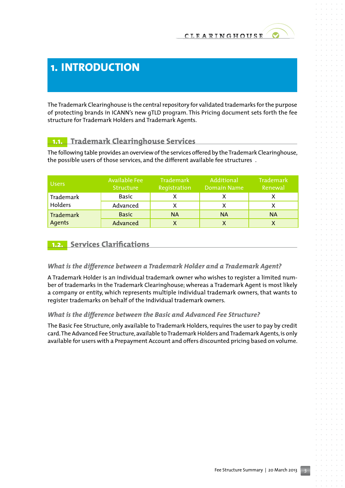# **1. Introduction**

The Trademark Clearinghouse is the central repository for validated trademarks for the purpose of protecting brands in ICANN's new gTLD program. This Pricing document sets forth the fee structure for Trademark Holders and Trademark Agents.

# **1.1. Trademark Clearinghouse Services**

The following table provides an overview of the services offered by the Trademark Clearinghouse, the possible users of those services, and the different available fee structures .

| <b>Users</b>     | Available Fee<br>Structure | Trademark<br>Registration | Additional<br>Domain Name | Trademark<br><b>Renewal</b> |
|------------------|----------------------------|---------------------------|---------------------------|-----------------------------|
| Trademark        | Basic                      |                           |                           |                             |
| Holders          | Advanced                   |                           |                           |                             |
| <b>Trademark</b> | <b>Basic</b>               | <b>NA</b>                 | <b>NA</b>                 | <b>NA</b>                   |
| Agents           | Advanced                   |                           |                           |                             |

### **1.2. Services Clarifications**

### *What is the difference between a Trademark Holder and a Trademark Agent?*

A Trademark Holder is an individual trademark owner who wishes to register a limited number of trademarks in the Trademark Clearinghouse; whereas a Trademark Agent is most likely a company or entity, which represents multiple individual trademark owners, that wants to register trademarks on behalf of the individual trademark owners.

### *What is the difference between the Basic and Advanced Fee Structure?*

The Basic Fee Structure, only available to Trademark Holders, requires the user to pay by credit card. The Advanced Fee Structure, available to Trademark Holders and Trademark Agents, is only available for users with a Prepayment Account and offers discounted pricing based on volume.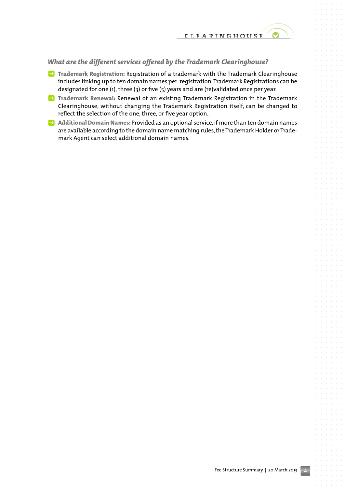### *What are the different services offered by the Trademark Clearinghouse?*

- **P** Trademark Registration: Registration of a trademark with the Trademark Clearinghouse includes linking up to ten domain names per registration. Trademark Registrations can be designated for one (1), three (3) or five (5) years and are (re)validated once per year.
- **P** Trademark Renewal: Renewal of an existing Trademark Registration in the Trademark Clearinghouse, without changing the Trademark Registration itself, can be changed to reflect the selection of the one, three, or five year option..
- P **Additional Domain Names:** Provided as an optional service, if more than ten domain names are available according to the domain name matching rules, the Trademark Holder or Trademark Agent can select additional domain names.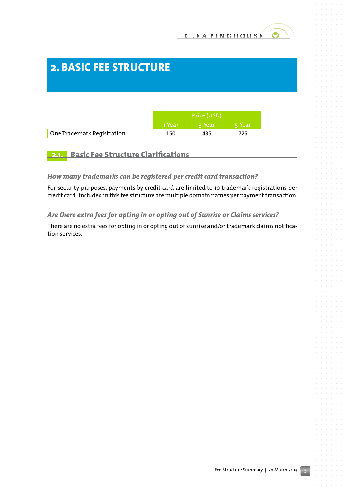# **2.Basic Fee Structure**

|                            | Price (USD) |          |        |
|----------------------------|-------------|----------|--------|
|                            | -1-Year     | ่ a-Year | 5-Year |
| One Trademark Registration | 150         | 435      | 725    |

### **2.1. Basic Fee Structure Clarifications**

### *How many trademarks can be registered per credit card transaction?*

For security purposes, payments by credit card are limited to 10 trademark registrations per credit card. Included in this fee structure are multiple domain names per payment transaction.

### *Are there extra fees for opting in or opting out of Sunrise or Claims services?*

There are no extra fees for opting in or opting out of sunrise and/or trademark claims notification services.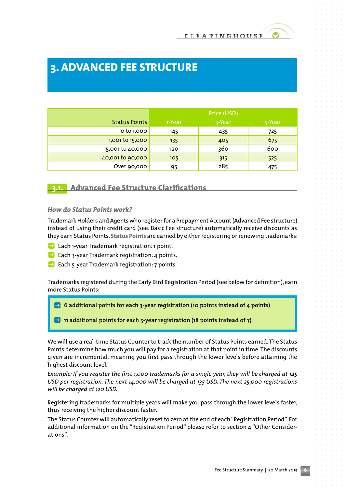# **3. Advanced Fee Structure**

|                      | Price (USD) |        |        |
|----------------------|-------------|--------|--------|
| <b>Status Points</b> | 1-Year      | 3-Year | 5-Year |
| o to 1,000           | 145         | 435    | 725    |
| 1,001 to 15,000      | 135         | 405    | 675    |
| 15,001 to 40,000     | 120         | 360    | 600    |
| 40,001 to 90,000     | 105         | 315    | 525    |
| Over 90,000          | 95          | 285    | 475    |

**3.1. Advanced Fee Structure Clarifications**

#### *How do Status Points work?*

Trademark Holders and Agents who register for a Prepayment Account (Advanced Fee structure) instead of using their credit card (see: Basic Fee structure) automatically receive discounts as they earn Status Points. **Status Points** are earned by either registering or renewing trademarks:

- **P** Each 1-year Trademark registration: 1 point.
- $\blacktriangleright$  Each 3-year Trademark registration: 4 points.
- $\rightarrow$  Each 5-year Trademark registration: 7 points.

Trademarks registered during the Early Bird Registration Period (see below for definition), earn more Status Points:

P **6 additional points for each 3-year registration (10 points instead of 4 points)**

**P** 11 additional points for each 5-year registration (18 points instead of 7)

We will use a real-time Status Counter to track the number of Status Points earned. The Status Points determine how much you will pay for a registration at that point in time. The discounts given are incremental, meaning you first pass through the lower levels before attaining the highest discount level.

*Example: If you register the first 1,000 trademarks for a single year, they will be charged at 145 USD per registration. The next 14,000 will be charged at 135 USD. The next 25,000 registrations will be charged at 120 USD.* 

Registering trademarks for multiple years will make you pass through the lower levels faster, thus receiving the higher discount faster.

The Status Counter will automatically reset to zero at the end of each "Registration Period". For additional information on the "Registration Period" please refer to section 4 "Other Considerations".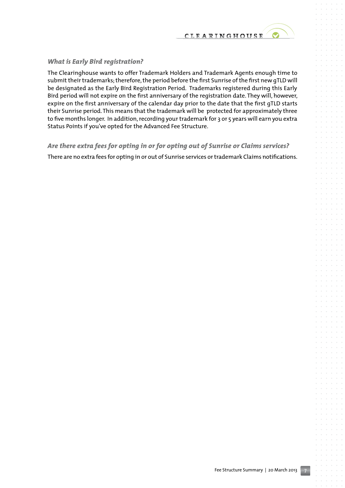

#### *What is Early Bird registration?*

The Clearinghouse wants to offer Trademark Holders and Trademark Agents enough time to submit their trademarks; therefore, the period before the first Sunrise of the first new gTLD will be designated as the Early Bird Registration Period. Trademarks registered during this Early Bird period will not expire on the first anniversary of the registration date. They will, however, expire on the first anniversary of the calendar day prior to the date that the first gTLD starts their Sunrise period. This means that the trademark will be protected for approximately three to five months longer. In addition, recording your trademark for 3 or 5 years will earn you extra Status Points if you've opted for the Advanced Fee Structure.

#### *Are there extra fees for opting in or for opting out of Sunrise or Claims services?*

There are no extra fees for opting in or out of Sunrise services or trademark Claims notifications.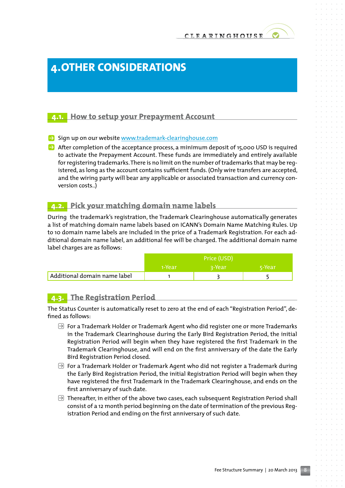# **4.Other Considerations**

### **4.1. How to setup your Prepayment Account**

- $\blacktriangleright$  Sign up on our website www.trademark-clearinghouse.com
- $\rightarrow$  After completion of the acceptance process, a minimum deposit of 15,000 USD is required to activate the Prepayment Account. These funds are immediately and entirely available for registering trademarks. There is no limit on the number of trademarks that may be registered, as long as the account contains sufficient funds. (Only wire transfers are accepted, and the wiring party will bear any applicable or associated transaction and currency conversion costs..)

### **4.2. Pick your matching domain name labels**

During the trademark's registration, the Trademark Clearinghouse automatically generates a list of matching domain name labels based on ICANN's Domain Name Matching Rules. Up to 10 domain name labels are included in the price of a Trademark Registration. For each additional domain name label, an additional fee will be charged. The additional domain name label charges are as follows:

|                              | Price (USD) |          |        |
|------------------------------|-------------|----------|--------|
|                              | 1-Year      | ' २-Year | 5-Year |
| Additional domain name label |             |          |        |

## **4.3. The Registration Period**

The Status Counter is automatically reset to zero at the end of each "Registration Period", defined as follows:

- $\Theta$  For a Trademark Holder or Trademark Agent who did register one or more Trademarks in the Trademark Clearinghouse during the Early Bird Registration Period, the initial Registration Period will begin when they have registered the first Trademark in the Trademark Clearinghouse, and will end on the first anniversary of the date the Early Bird Registration Period closed.
- $\Theta$  For a Trademark Holder or Trademark Agent who did not register a Trademark during the Early Bird Registration Period, the initial Registration Period will begin when they have registered the first Trademark in the Trademark Clearinghouse, and ends on the first anniversary of such date.
- $\Theta$  Thereafter, in either of the above two cases, each subsequent Registration Period shall consist of a 12 month period beginning on the date of termination of the previous Registration Period and ending on the first anniversary of such date.